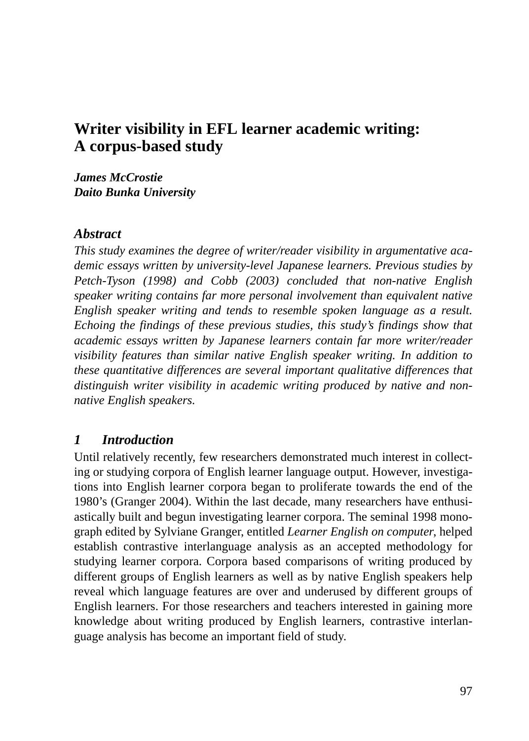# **Writer visibility in EFL learner academic writing: A corpus-based study**

*James McCrostie Daito Bunka University*

#### *Abstract*

*This study examines the degree of writer/reader visibility in argumentative academic essays written by university-level Japanese learners. Previous studies by Petch-Tyson (1998) and Cobb (2003) concluded that non-native English speaker writing contains far more personal involvement than equivalent native English speaker writing and tends to resemble spoken language as a result. Echoing the findings of these previous studies, this study's findings show that academic essays written by Japanese learners contain far more writer/reader visibility features than similar native English speaker writing. In addition to these quantitative differences are several important qualitative differences that distinguish writer visibility in academic writing produced by native and nonnative English speakers.*

#### *1 Introduction*

Until relatively recently, few researchers demonstrated much interest in collecting or studying corpora of English learner language output. However, investigations into English learner corpora began to proliferate towards the end of the 1980's (Granger 2004). Within the last decade, many researchers have enthusiastically built and begun investigating learner corpora. The seminal 1998 monograph edited by Sylviane Granger, entitled *Learner English on computer*, helped establish contrastive interlanguage analysis as an accepted methodology for studying learner corpora. Corpora based comparisons of writing produced by different groups of English learners as well as by native English speakers help reveal which language features are over and underused by different groups of English learners. For those researchers and teachers interested in gaining more knowledge about writing produced by English learners, contrastive interlanguage analysis has become an important field of study.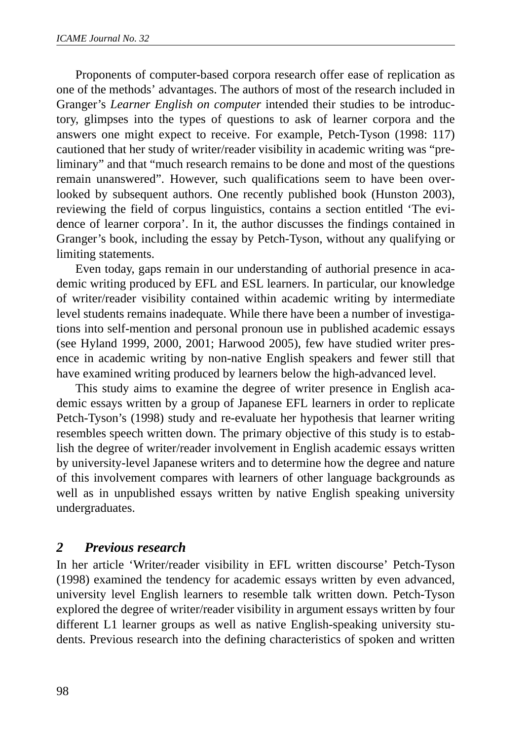Proponents of computer-based corpora research offer ease of replication as one of the methods' advantages. The authors of most of the research included in Granger's *Learner English on computer* intended their studies to be introductory, glimpses into the types of questions to ask of learner corpora and the answers one might expect to receive. For example, Petch-Tyson (1998: 117) cautioned that her study of writer/reader visibility in academic writing was "preliminary" and that "much research remains to be done and most of the questions remain unanswered". However, such qualifications seem to have been overlooked by subsequent authors. One recently published book (Hunston 2003), reviewing the field of corpus linguistics, contains a section entitled 'The evidence of learner corpora'. In it, the author discusses the findings contained in Granger's book, including the essay by Petch-Tyson, without any qualifying or limiting statements.

Even today, gaps remain in our understanding of authorial presence in academic writing produced by EFL and ESL learners. In particular, our knowledge of writer/reader visibility contained within academic writing by intermediate level students remains inadequate. While there have been a number of investigations into self-mention and personal pronoun use in published academic essays (see Hyland 1999, 2000, 2001; Harwood 2005), few have studied writer presence in academic writing by non-native English speakers and fewer still that have examined writing produced by learners below the high-advanced level.

This study aims to examine the degree of writer presence in English academic essays written by a group of Japanese EFL learners in order to replicate Petch-Tyson's (1998) study and re-evaluate her hypothesis that learner writing resembles speech written down. The primary objective of this study is to establish the degree of writer/reader involvement in English academic essays written by university-level Japanese writers and to determine how the degree and nature of this involvement compares with learners of other language backgrounds as well as in unpublished essays written by native English speaking university undergraduates.

### *2 Previous research*

In her article 'Writer/reader visibility in EFL written discourse' Petch-Tyson (1998) examined the tendency for academic essays written by even advanced, university level English learners to resemble talk written down. Petch-Tyson explored the degree of writer/reader visibility in argument essays written by four different L1 learner groups as well as native English-speaking university students. Previous research into the defining characteristics of spoken and written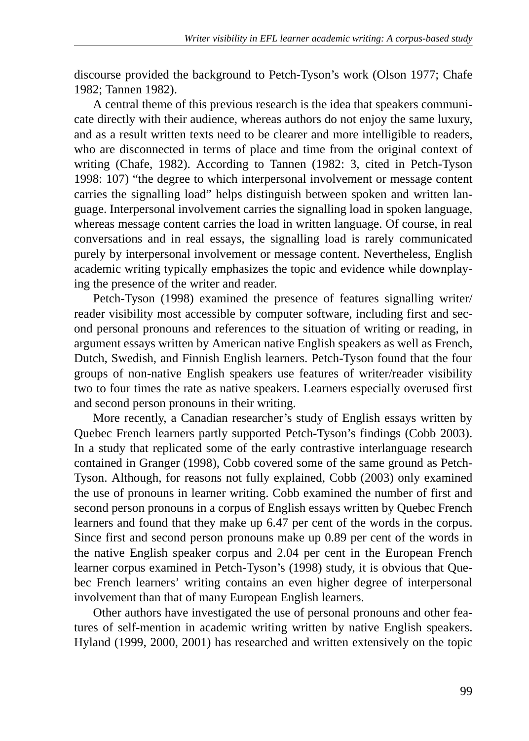discourse provided the background to Petch-Tyson's work (Olson 1977; Chafe 1982; Tannen 1982).

A central theme of this previous research is the idea that speakers communicate directly with their audience, whereas authors do not enjoy the same luxury, and as a result written texts need to be clearer and more intelligible to readers, who are disconnected in terms of place and time from the original context of writing (Chafe, 1982). According to Tannen (1982: 3, cited in Petch-Tyson 1998: 107) "the degree to which interpersonal involvement or message content carries the signalling load" helps distinguish between spoken and written language. Interpersonal involvement carries the signalling load in spoken language, whereas message content carries the load in written language. Of course, in real conversations and in real essays, the signalling load is rarely communicated purely by interpersonal involvement or message content. Nevertheless, English academic writing typically emphasizes the topic and evidence while downplaying the presence of the writer and reader.

Petch-Tyson (1998) examined the presence of features signalling writer/ reader visibility most accessible by computer software, including first and second personal pronouns and references to the situation of writing or reading, in argument essays written by American native English speakers as well as French, Dutch, Swedish, and Finnish English learners. Petch-Tyson found that the four groups of non-native English speakers use features of writer/reader visibility two to four times the rate as native speakers. Learners especially overused first and second person pronouns in their writing.

More recently, a Canadian researcher's study of English essays written by Quebec French learners partly supported Petch-Tyson's findings (Cobb 2003). In a study that replicated some of the early contrastive interlanguage research contained in Granger (1998), Cobb covered some of the same ground as Petch-Tyson. Although, for reasons not fully explained, Cobb (2003) only examined the use of pronouns in learner writing. Cobb examined the number of first and second person pronouns in a corpus of English essays written by Quebec French learners and found that they make up 6.47 per cent of the words in the corpus. Since first and second person pronouns make up 0.89 per cent of the words in the native English speaker corpus and 2.04 per cent in the European French learner corpus examined in Petch-Tyson's (1998) study, it is obvious that Quebec French learners' writing contains an even higher degree of interpersonal involvement than that of many European English learners.

Other authors have investigated the use of personal pronouns and other features of self-mention in academic writing written by native English speakers. Hyland (1999, 2000, 2001) has researched and written extensively on the topic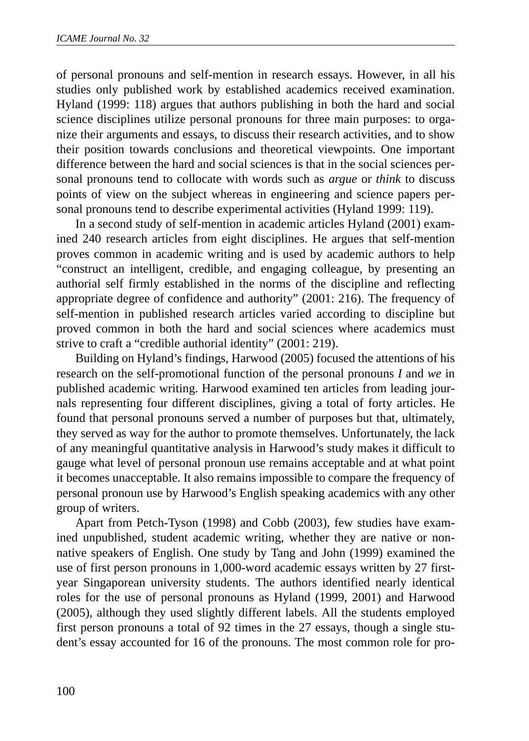of personal pronouns and self-mention in research essays. However, in all his studies only published work by established academics received examination. Hyland (1999: 118) argues that authors publishing in both the hard and social science disciplines utilize personal pronouns for three main purposes: to organize their arguments and essays, to discuss their research activities, and to show their position towards conclusions and theoretical viewpoints. One important difference between the hard and social sciences is that in the social sciences personal pronouns tend to collocate with words such as *argue* or *think* to discuss points of view on the subject whereas in engineering and science papers personal pronouns tend to describe experimental activities (Hyland 1999: 119).

In a second study of self-mention in academic articles Hyland (2001) examined 240 research articles from eight disciplines. He argues that self-mention proves common in academic writing and is used by academic authors to help "construct an intelligent, credible, and engaging colleague, by presenting an authorial self firmly established in the norms of the discipline and reflecting appropriate degree of confidence and authority" (2001: 216). The frequency of self-mention in published research articles varied according to discipline but proved common in both the hard and social sciences where academics must strive to craft a "credible authorial identity" (2001: 219).

Building on Hyland's findings, Harwood (2005) focused the attentions of his research on the self-promotional function of the personal pronouns *I* and *we* in published academic writing. Harwood examined ten articles from leading journals representing four different disciplines, giving a total of forty articles. He found that personal pronouns served a number of purposes but that, ultimately, they served as way for the author to promote themselves. Unfortunately, the lack of any meaningful quantitative analysis in Harwood's study makes it difficult to gauge what level of personal pronoun use remains acceptable and at what point it becomes unacceptable. It also remains impossible to compare the frequency of personal pronoun use by Harwood's English speaking academics with any other group of writers.

Apart from Petch-Tyson (1998) and Cobb (2003), few studies have examined unpublished, student academic writing, whether they are native or nonnative speakers of English. One study by Tang and John (1999) examined the use of first person pronouns in 1,000-word academic essays written by 27 firstyear Singaporean university students. The authors identified nearly identical roles for the use of personal pronouns as Hyland (1999, 2001) and Harwood (2005), although they used slightly different labels. All the students employed first person pronouns a total of 92 times in the 27 essays, though a single student's essay accounted for 16 of the pronouns. The most common role for pro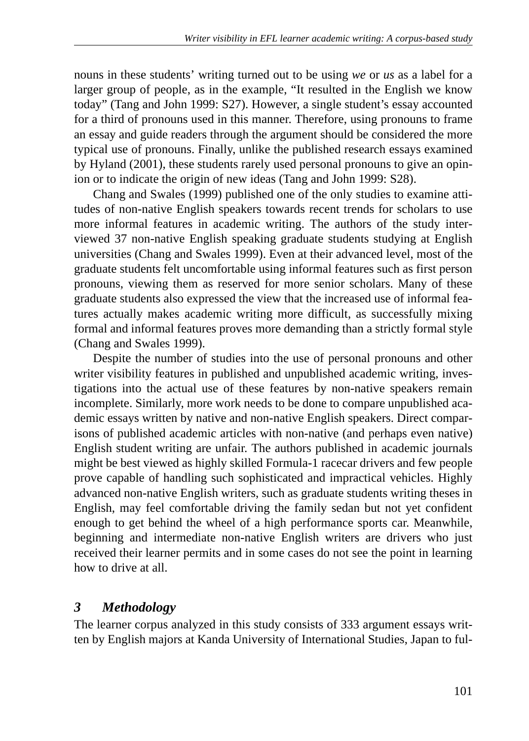nouns in these students' writing turned out to be using *we* or *us* as a label for a larger group of people, as in the example, "It resulted in the English we know today" (Tang and John 1999: S27). However, a single student's essay accounted for a third of pronouns used in this manner. Therefore, using pronouns to frame an essay and guide readers through the argument should be considered the more typical use of pronouns. Finally, unlike the published research essays examined by Hyland (2001), these students rarely used personal pronouns to give an opinion or to indicate the origin of new ideas (Tang and John 1999: S28).

Chang and Swales (1999) published one of the only studies to examine attitudes of non-native English speakers towards recent trends for scholars to use more informal features in academic writing. The authors of the study interviewed 37 non-native English speaking graduate students studying at English universities (Chang and Swales 1999). Even at their advanced level, most of the graduate students felt uncomfortable using informal features such as first person pronouns, viewing them as reserved for more senior scholars. Many of these graduate students also expressed the view that the increased use of informal features actually makes academic writing more difficult, as successfully mixing formal and informal features proves more demanding than a strictly formal style (Chang and Swales 1999).

Despite the number of studies into the use of personal pronouns and other writer visibility features in published and unpublished academic writing, investigations into the actual use of these features by non-native speakers remain incomplete. Similarly, more work needs to be done to compare unpublished academic essays written by native and non-native English speakers. Direct comparisons of published academic articles with non-native (and perhaps even native) English student writing are unfair. The authors published in academic journals might be best viewed as highly skilled Formula-1 racecar drivers and few people prove capable of handling such sophisticated and impractical vehicles. Highly advanced non-native English writers, such as graduate students writing theses in English, may feel comfortable driving the family sedan but not yet confident enough to get behind the wheel of a high performance sports car. Meanwhile, beginning and intermediate non-native English writers are drivers who just received their learner permits and in some cases do not see the point in learning how to drive at all.

### *3 Methodology*

The learner corpus analyzed in this study consists of 333 argument essays written by English majors at Kanda University of International Studies, Japan to ful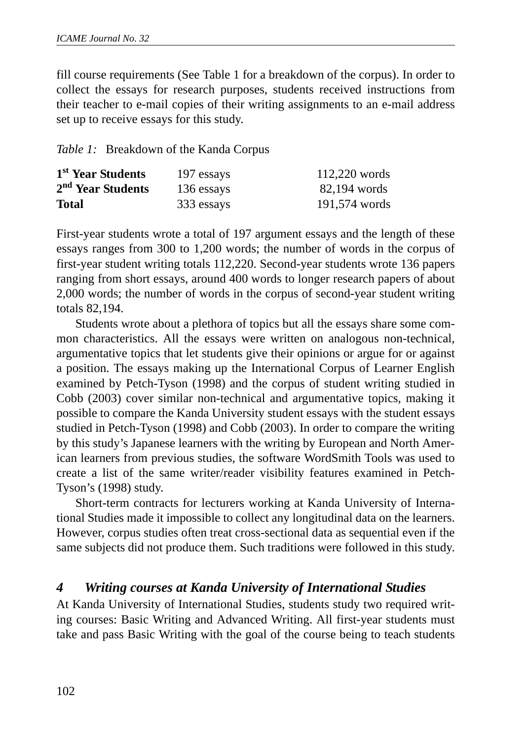fill course requirements (See Table 1 for a breakdown of the corpus). In order to collect the essays for research purposes, students received instructions from their teacher to e-mail copies of their writing assignments to an e-mail address set up to receive essays for this study.

*Table 1:* Breakdown of the Kanda Corpus

| 1 <sup>st</sup> Year Students | 197 essays | $112,220$ words |
|-------------------------------|------------|-----------------|
| 2 <sup>nd</sup> Year Students | 136 essays | 82,194 words    |
| <b>Total</b>                  | 333 essays | 191,574 words   |

First-year students wrote a total of 197 argument essays and the length of these essays ranges from 300 to 1,200 words; the number of words in the corpus of first-year student writing totals 112,220. Second-year students wrote 136 papers ranging from short essays, around 400 words to longer research papers of about 2,000 words; the number of words in the corpus of second-year student writing totals 82,194.

Students wrote about a plethora of topics but all the essays share some common characteristics. All the essays were written on analogous non-technical, argumentative topics that let students give their opinions or argue for or against a position. The essays making up the International Corpus of Learner English examined by Petch-Tyson (1998) and the corpus of student writing studied in Cobb (2003) cover similar non-technical and argumentative topics, making it possible to compare the Kanda University student essays with the student essays studied in Petch-Tyson (1998) and Cobb (2003). In order to compare the writing by this study's Japanese learners with the writing by European and North American learners from previous studies, the software WordSmith Tools was used to create a list of the same writer/reader visibility features examined in Petch-Tyson's (1998) study.

Short-term contracts for lecturers working at Kanda University of International Studies made it impossible to collect any longitudinal data on the learners. However, corpus studies often treat cross-sectional data as sequential even if the same subjects did not produce them. Such traditions were followed in this study.

### *4 Writing courses at Kanda University of International Studies*

At Kanda University of International Studies, students study two required writing courses: Basic Writing and Advanced Writing. All first-year students must take and pass Basic Writing with the goal of the course being to teach students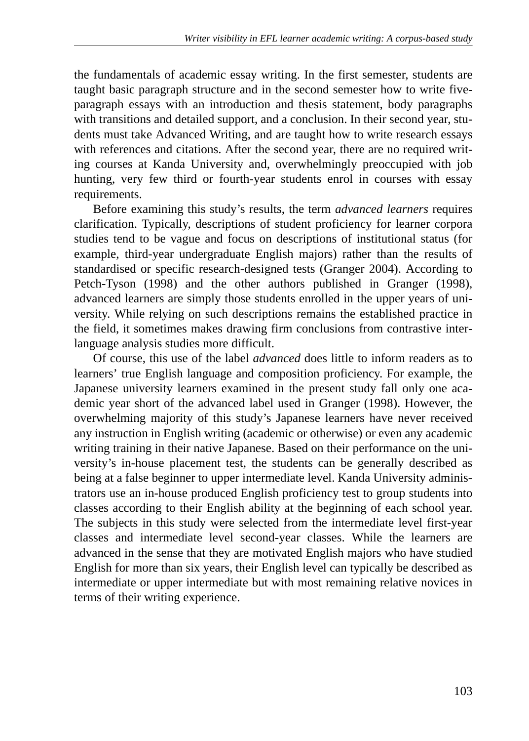the fundamentals of academic essay writing. In the first semester, students are taught basic paragraph structure and in the second semester how to write fiveparagraph essays with an introduction and thesis statement, body paragraphs with transitions and detailed support, and a conclusion. In their second year, students must take Advanced Writing, and are taught how to write research essays with references and citations. After the second year, there are no required writing courses at Kanda University and, overwhelmingly preoccupied with job hunting, very few third or fourth-year students enrol in courses with essay requirements.

Before examining this study's results, the term *advanced learners* requires clarification. Typically, descriptions of student proficiency for learner corpora studies tend to be vague and focus on descriptions of institutional status (for example, third-year undergraduate English majors) rather than the results of standardised or specific research-designed tests (Granger 2004). According to Petch-Tyson (1998) and the other authors published in Granger (1998), advanced learners are simply those students enrolled in the upper years of university. While relying on such descriptions remains the established practice in the field, it sometimes makes drawing firm conclusions from contrastive interlanguage analysis studies more difficult.

Of course, this use of the label *advanced* does little to inform readers as to learners' true English language and composition proficiency. For example, the Japanese university learners examined in the present study fall only one academic year short of the advanced label used in Granger (1998). However, the overwhelming majority of this study's Japanese learners have never received any instruction in English writing (academic or otherwise) or even any academic writing training in their native Japanese. Based on their performance on the university's in-house placement test, the students can be generally described as being at a false beginner to upper intermediate level. Kanda University administrators use an in-house produced English proficiency test to group students into classes according to their English ability at the beginning of each school year. The subjects in this study were selected from the intermediate level first-year classes and intermediate level second-year classes. While the learners are advanced in the sense that they are motivated English majors who have studied English for more than six years, their English level can typically be described as intermediate or upper intermediate but with most remaining relative novices in terms of their writing experience.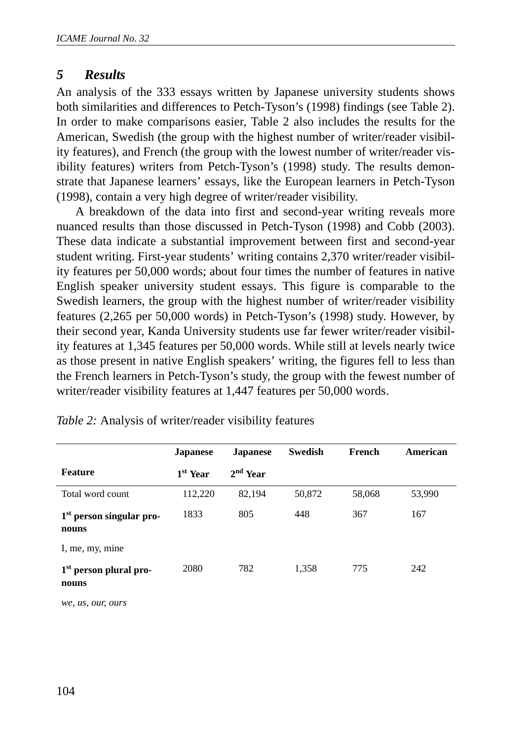#### *5 Results*

An analysis of the 333 essays written by Japanese university students shows both similarities and differences to Petch-Tyson's (1998) findings (see Table 2). In order to make comparisons easier, Table 2 also includes the results for the American, Swedish (the group with the highest number of writer/reader visibility features), and French (the group with the lowest number of writer/reader visibility features) writers from Petch-Tyson's (1998) study. The results demonstrate that Japanese learners' essays, like the European learners in Petch-Tyson (1998), contain a very high degree of writer/reader visibility.

A breakdown of the data into first and second-year writing reveals more nuanced results than those discussed in Petch-Tyson (1998) and Cobb (2003). These data indicate a substantial improvement between first and second-year student writing. First-year students' writing contains 2,370 writer/reader visibility features per 50,000 words; about four times the number of features in native English speaker university student essays. This figure is comparable to the Swedish learners, the group with the highest number of writer/reader visibility features (2,265 per 50,000 words) in Petch-Tyson's (1998) study. However, by their second year, Kanda University students use far fewer writer/reader visibility features at 1,345 features per 50,000 words. While still at levels nearly twice as those present in native English speakers' writing, the figures fell to less than the French learners in Petch-Tyson's study, the group with the fewest number of writer/reader visibility features at 1,447 features per 50,000 words.

|                                               | <b>Japanese</b>      | <b>Japanese</b> | <b>Swedish</b> | French | American |
|-----------------------------------------------|----------------------|-----------------|----------------|--------|----------|
| <b>Feature</b>                                | 1 <sup>st</sup> Year | $2nd$ Year      |                |        |          |
| Total word count                              | 112,220              | 82,194          | 50,872         | 58,068 | 53,990   |
| 1 <sup>st</sup> person singular pro-<br>nouns | 1833                 | 805             | 448            | 367    | 167      |
| I, me, my, mine                               |                      |                 |                |        |          |
| 1 <sup>st</sup> person plural pro-<br>nouns   | 2080                 | 782             | 1,358          | 775    | 242      |

*Table 2:* Analysis of writer/reader visibility features

*we, us, our, ours*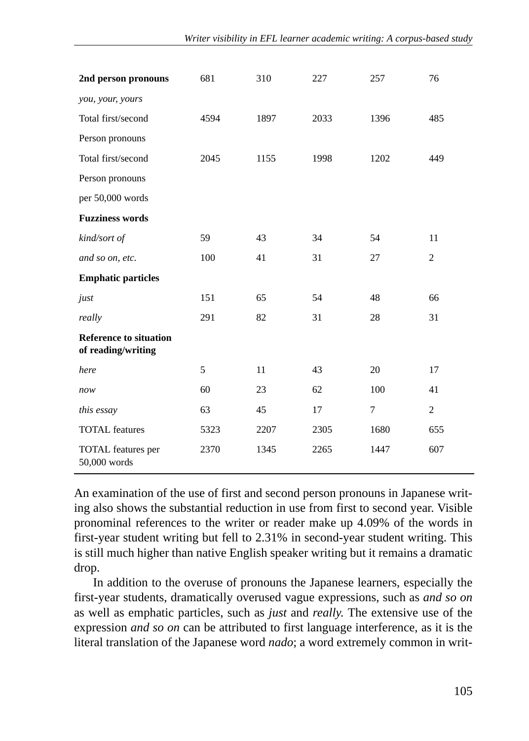| 2nd person pronouns                                 | 681  | 310  | 227  | 257  | 76             |
|-----------------------------------------------------|------|------|------|------|----------------|
| you, your, yours                                    |      |      |      |      |                |
| Total first/second                                  | 4594 | 1897 | 2033 | 1396 | 485            |
| Person pronouns                                     |      |      |      |      |                |
| Total first/second                                  | 2045 | 1155 | 1998 | 1202 | 449            |
| Person pronouns                                     |      |      |      |      |                |
| per 50,000 words                                    |      |      |      |      |                |
| <b>Fuzziness words</b>                              |      |      |      |      |                |
| kind/sort of                                        | 59   | 43   | 34   | 54   | 11             |
| and so on, etc.                                     | 100  | 41   | 31   | 27   | $\overline{2}$ |
| <b>Emphatic particles</b>                           |      |      |      |      |                |
| just                                                | 151  | 65   | 54   | 48   | 66             |
| really                                              | 291  | 82   | 31   | 28   | 31             |
| <b>Reference to situation</b><br>of reading/writing |      |      |      |      |                |
| here                                                | 5    | 11   | 43   | 20   | 17             |
| now                                                 | 60   | 23   | 62   | 100  | 41             |
| this essay                                          | 63   | 45   | 17   | 7    | 2              |
| <b>TOTAL</b> features                               | 5323 | 2207 | 2305 | 1680 | 655            |
| TOTAL features per<br>50,000 words                  | 2370 | 1345 | 2265 | 1447 | 607            |

An examination of the use of first and second person pronouns in Japanese writing also shows the substantial reduction in use from first to second year. Visible pronominal references to the writer or reader make up 4.09% of the words in first-year student writing but fell to 2.31% in second-year student writing. This is still much higher than native English speaker writing but it remains a dramatic drop.

In addition to the overuse of pronouns the Japanese learners, especially the first-year students, dramatically overused vague expressions, such as *and so on* as well as emphatic particles, such as *just* and *really*. The extensive use of the expression *and so on* can be attributed to first language interference, as it is the literal translation of the Japanese word *nado*; a word extremely common in writ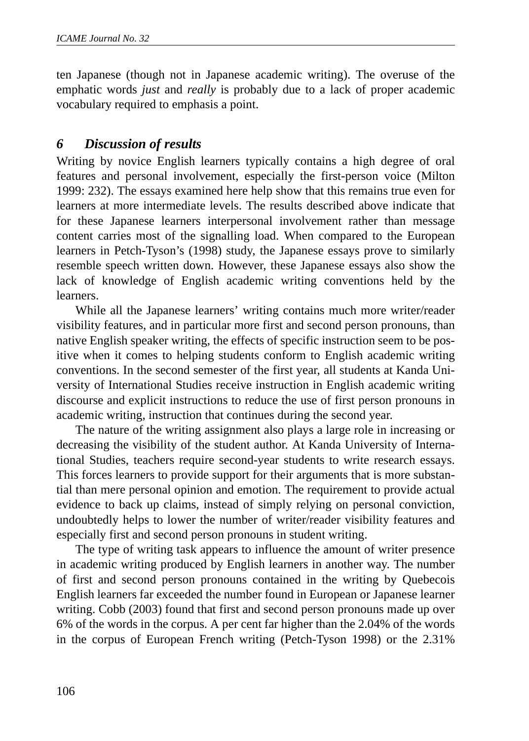ten Japanese (though not in Japanese academic writing). The overuse of the emphatic words *just* and *really* is probably due to a lack of proper academic vocabulary required to emphasis a point.

## *6 Discussion of results*

Writing by novice English learners typically contains a high degree of oral features and personal involvement, especially the first-person voice (Milton 1999: 232). The essays examined here help show that this remains true even for learners at more intermediate levels. The results described above indicate that for these Japanese learners interpersonal involvement rather than message content carries most of the signalling load. When compared to the European learners in Petch-Tyson's (1998) study, the Japanese essays prove to similarly resemble speech written down. However, these Japanese essays also show the lack of knowledge of English academic writing conventions held by the learners.

While all the Japanese learners' writing contains much more writer/reader visibility features, and in particular more first and second person pronouns, than native English speaker writing, the effects of specific instruction seem to be positive when it comes to helping students conform to English academic writing conventions. In the second semester of the first year, all students at Kanda University of International Studies receive instruction in English academic writing discourse and explicit instructions to reduce the use of first person pronouns in academic writing, instruction that continues during the second year.

The nature of the writing assignment also plays a large role in increasing or decreasing the visibility of the student author. At Kanda University of International Studies, teachers require second-year students to write research essays. This forces learners to provide support for their arguments that is more substantial than mere personal opinion and emotion. The requirement to provide actual evidence to back up claims, instead of simply relying on personal conviction, undoubtedly helps to lower the number of writer/reader visibility features and especially first and second person pronouns in student writing.

The type of writing task appears to influence the amount of writer presence in academic writing produced by English learners in another way. The number of first and second person pronouns contained in the writing by Quebecois English learners far exceeded the number found in European or Japanese learner writing. Cobb (2003) found that first and second person pronouns made up over 6% of the words in the corpus. A per cent far higher than the 2.04% of the words in the corpus of European French writing (Petch-Tyson 1998) or the 2.31%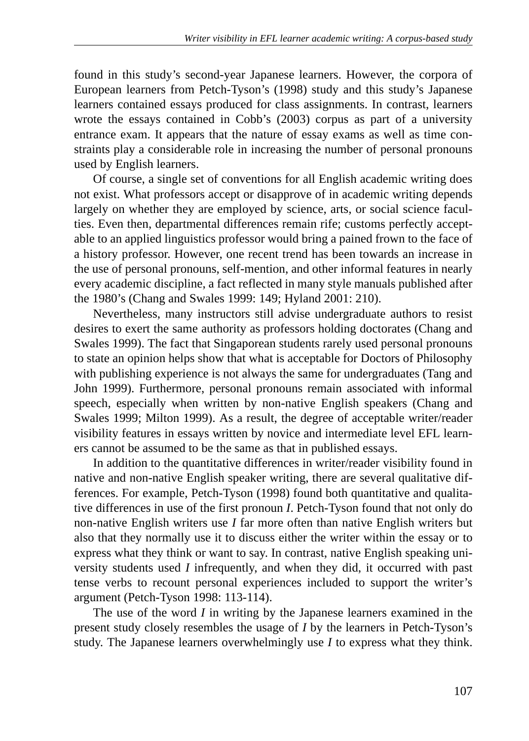found in this study's second-year Japanese learners. However, the corpora of European learners from Petch-Tyson's (1998) study and this study's Japanese learners contained essays produced for class assignments. In contrast, learners wrote the essays contained in Cobb's (2003) corpus as part of a university entrance exam. It appears that the nature of essay exams as well as time constraints play a considerable role in increasing the number of personal pronouns used by English learners.

Of course, a single set of conventions for all English academic writing does not exist. What professors accept or disapprove of in academic writing depends largely on whether they are employed by science, arts, or social science faculties. Even then, departmental differences remain rife; customs perfectly acceptable to an applied linguistics professor would bring a pained frown to the face of a history professor. However, one recent trend has been towards an increase in the use of personal pronouns, self-mention, and other informal features in nearly every academic discipline, a fact reflected in many style manuals published after the 1980's (Chang and Swales 1999: 149; Hyland 2001: 210).

Nevertheless, many instructors still advise undergraduate authors to resist desires to exert the same authority as professors holding doctorates (Chang and Swales 1999). The fact that Singaporean students rarely used personal pronouns to state an opinion helps show that what is acceptable for Doctors of Philosophy with publishing experience is not always the same for undergraduates (Tang and John 1999). Furthermore, personal pronouns remain associated with informal speech, especially when written by non-native English speakers (Chang and Swales 1999; Milton 1999). As a result, the degree of acceptable writer/reader visibility features in essays written by novice and intermediate level EFL learners cannot be assumed to be the same as that in published essays.

In addition to the quantitative differences in writer/reader visibility found in native and non-native English speaker writing, there are several qualitative differences. For example, Petch-Tyson (1998) found both quantitative and qualitative differences in use of the first pronoun *I*. Petch-Tyson found that not only do non-native English writers use *I* far more often than native English writers but also that they normally use it to discuss either the writer within the essay or to express what they think or want to say. In contrast, native English speaking university students used *I* infrequently, and when they did, it occurred with past tense verbs to recount personal experiences included to support the writer's argument (Petch-Tyson 1998: 113-114).

The use of the word *I* in writing by the Japanese learners examined in the present study closely resembles the usage of *I* by the learners in Petch-Tyson's study. The Japanese learners overwhelmingly use *I* to express what they think.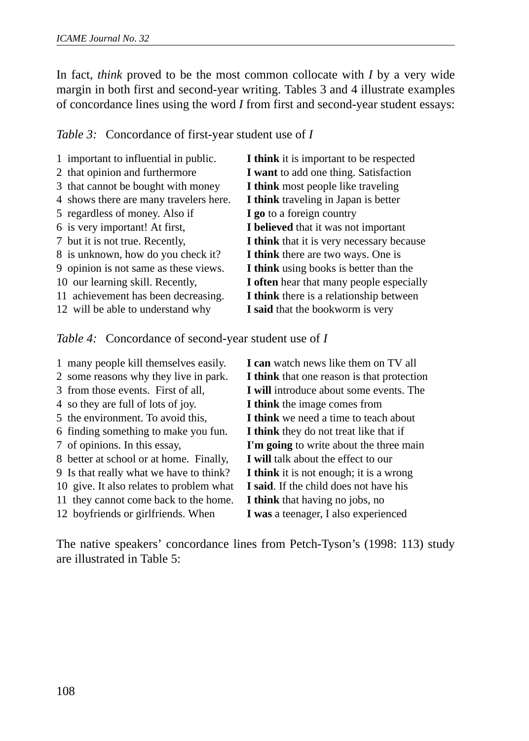In fact, *think* proved to be the most common collocate with *I* by a very wide margin in both first and second-year writing. Tables 3 and 4 illustrate examples of concordance lines using the word *I* from first and second-year student essays:

*Table 3:* Concordance of first-year student use of *I*

| 1 important to influential in public.  | I think it is important to be respected   |
|----------------------------------------|-------------------------------------------|
| 2 that opinion and furthermore         | I want to add one thing. Satisfaction     |
| 3 that cannot be bought with money     | I think most people like traveling        |
| 4 shows there are many travelers here. | I think traveling in Japan is better      |
| 5 regardless of money. Also if         | I go to a foreign country                 |
| 6 is very important! At first,         | I believed that it was not important      |
| 7 but it is not true. Recently,        | I think that it is very necessary because |
| 8 is unknown, how do you check it?     | I think there are two ways. One is        |
| 9 opinion is not same as these views.  | I think using books is better than the    |
| 10 our learning skill. Recently,       | I often hear that many people especially  |
| 11 achievement has been decreasing.    | I think there is a relationship between   |
| 12 will be able to understand why      | I said that the bookworm is very          |
|                                        |                                           |

*Table 4:* Concordance of second-year student use of *I*

1 many people kill themselves easily. **I can** watch news like them on TV all 2 some reasons why they live in park. **I think** that one reason is that protection 3 from those events. First of all, **I will** introduce about some events. The 4 so they are full of lots of joy. **I think** the image comes from 5 the environment. To avoid this, **I think** we need a time to teach about 6 finding something to make you fun. **I think** they do not treat like that if 7 of opinions. In this essay, **I'm going** to write about the three main 8 better at school or at home. Finally, **I will** talk about the effect to our 9 Is that really what we have to think? **I think** it is not enough; it is a wrong 10 give. It also relates to problem what **I said**. If the child does not have his 11 they cannot come back to the home. **I think** that having no jobs, no 12 boyfriends or girlfriends. When **I was** a teenager, I also experienced

The native speakers' concordance lines from Petch-Tyson's (1998: 113) study are illustrated in Table 5: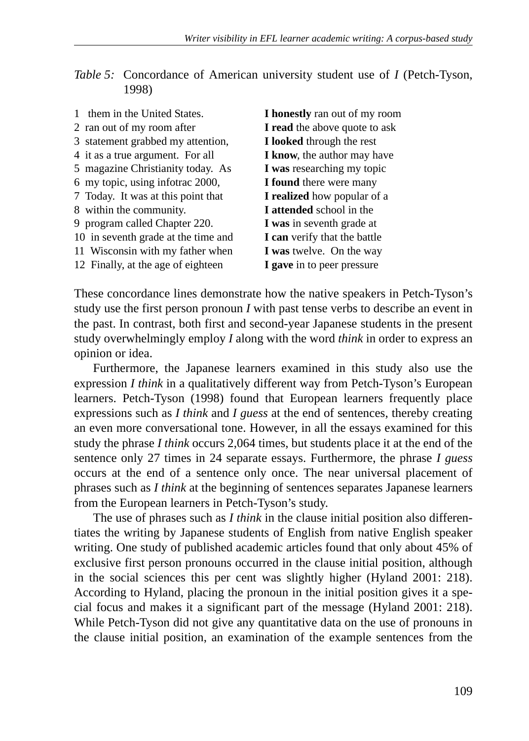| Table 5: Concordance of American university student use of <i>I</i> (Petch-Tyson, |  |  |  |  |
|-----------------------------------------------------------------------------------|--|--|--|--|
| 1998)                                                                             |  |  |  |  |

| 1 them in the United States.        | <b>I</b> honestly ran out of my room |
|-------------------------------------|--------------------------------------|
| 2 ran out of my room after          | I read the above quote to ask        |
| 3 statement grabbed my attention,   | I looked through the rest            |
| 4 it as a true argument. For all    | I know, the author may have          |
| 5 magazine Christianity today. As   | I was researching my topic           |
| 6 my topic, using infotrac 2000,    | <b>I</b> found there were many       |
| 7 Today. It was at this point that  | <b>I</b> realized how popular of a   |
| 8 within the community.             | I attended school in the             |
| 9 program called Chapter 220.       | I was in seventh grade at            |
| 10 in seventh grade at the time and | <b>I</b> can verify that the battle  |
| 11 Wisconsin with my father when    | <b>I</b> was twelve. On the way      |
| 12 Finally, at the age of eighteen  | I gave in to peer pressure           |
|                                     |                                      |

These concordance lines demonstrate how the native speakers in Petch-Tyson's study use the first person pronoun *I* with past tense verbs to describe an event in the past. In contrast, both first and second-year Japanese students in the present study overwhelmingly employ *I* along with the word *think* in order to express an opinion or idea.

Furthermore, the Japanese learners examined in this study also use the expression *I think* in a qualitatively different way from Petch-Tyson's European learners. Petch-Tyson (1998) found that European learners frequently place expressions such as *I think* and *I guess* at the end of sentences, thereby creating an even more conversational tone. However, in all the essays examined for this study the phrase *I think* occurs 2,064 times, but students place it at the end of the sentence only 27 times in 24 separate essays. Furthermore, the phrase *I guess* occurs at the end of a sentence only once. The near universal placement of phrases such as *I think* at the beginning of sentences separates Japanese learners from the European learners in Petch-Tyson's study.

The use of phrases such as *I think* in the clause initial position also differentiates the writing by Japanese students of English from native English speaker writing. One study of published academic articles found that only about 45% of exclusive first person pronouns occurred in the clause initial position, although in the social sciences this per cent was slightly higher (Hyland 2001: 218). According to Hyland, placing the pronoun in the initial position gives it a special focus and makes it a significant part of the message (Hyland 2001: 218). While Petch-Tyson did not give any quantitative data on the use of pronouns in the clause initial position, an examination of the example sentences from the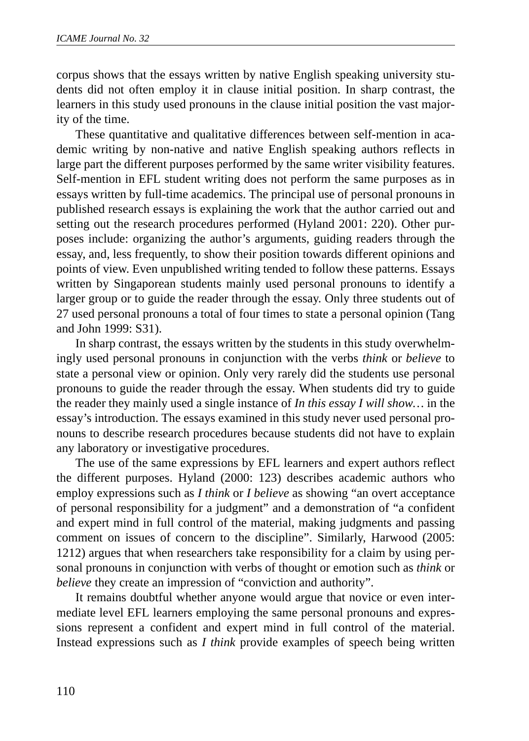corpus shows that the essays written by native English speaking university students did not often employ it in clause initial position. In sharp contrast, the learners in this study used pronouns in the clause initial position the vast majority of the time.

These quantitative and qualitative differences between self-mention in academic writing by non-native and native English speaking authors reflects in large part the different purposes performed by the same writer visibility features. Self-mention in EFL student writing does not perform the same purposes as in essays written by full-time academics. The principal use of personal pronouns in published research essays is explaining the work that the author carried out and setting out the research procedures performed (Hyland 2001: 220). Other purposes include: organizing the author's arguments, guiding readers through the essay, and, less frequently, to show their position towards different opinions and points of view. Even unpublished writing tended to follow these patterns. Essays written by Singaporean students mainly used personal pronouns to identify a larger group or to guide the reader through the essay. Only three students out of 27 used personal pronouns a total of four times to state a personal opinion (Tang and John 1999: S31).

In sharp contrast, the essays written by the students in this study overwhelmingly used personal pronouns in conjunction with the verbs *think* or *believe* to state a personal view or opinion. Only very rarely did the students use personal pronouns to guide the reader through the essay. When students did try to guide the reader they mainly used a single instance of *In this essay I will show…* in the essay's introduction. The essays examined in this study never used personal pronouns to describe research procedures because students did not have to explain any laboratory or investigative procedures.

The use of the same expressions by EFL learners and expert authors reflect the different purposes. Hyland (2000: 123) describes academic authors who employ expressions such as *I think* or *I believe* as showing "an overt acceptance of personal responsibility for a judgment" and a demonstration of "a confident and expert mind in full control of the material, making judgments and passing comment on issues of concern to the discipline". Similarly, Harwood (2005: 1212) argues that when researchers take responsibility for a claim by using personal pronouns in conjunction with verbs of thought or emotion such as *think* or *believe* they create an impression of "conviction and authority".

It remains doubtful whether anyone would argue that novice or even intermediate level EFL learners employing the same personal pronouns and expressions represent a confident and expert mind in full control of the material. Instead expressions such as *I think* provide examples of speech being written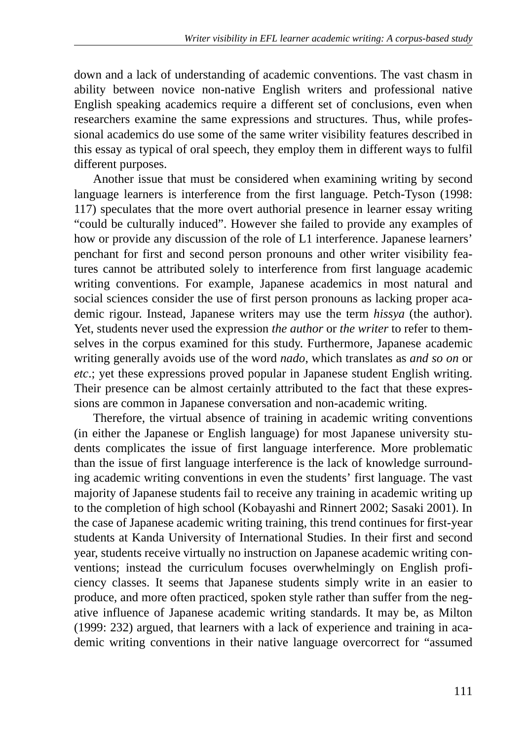down and a lack of understanding of academic conventions. The vast chasm in ability between novice non-native English writers and professional native English speaking academics require a different set of conclusions, even when researchers examine the same expressions and structures. Thus, while professional academics do use some of the same writer visibility features described in this essay as typical of oral speech, they employ them in different ways to fulfil different purposes.

Another issue that must be considered when examining writing by second language learners is interference from the first language. Petch-Tyson (1998: 117) speculates that the more overt authorial presence in learner essay writing "could be culturally induced". However she failed to provide any examples of how or provide any discussion of the role of L1 interference. Japanese learners' penchant for first and second person pronouns and other writer visibility features cannot be attributed solely to interference from first language academic writing conventions. For example, Japanese academics in most natural and social sciences consider the use of first person pronouns as lacking proper academic rigour. Instead, Japanese writers may use the term *hissya* (the author). Yet, students never used the expression *the author* or *the writer* to refer to themselves in the corpus examined for this study. Furthermore, Japanese academic writing generally avoids use of the word *nado*, which translates as *and so on* or *etc*.; yet these expressions proved popular in Japanese student English writing. Their presence can be almost certainly attributed to the fact that these expressions are common in Japanese conversation and non-academic writing.

Therefore, the virtual absence of training in academic writing conventions (in either the Japanese or English language) for most Japanese university students complicates the issue of first language interference. More problematic than the issue of first language interference is the lack of knowledge surrounding academic writing conventions in even the students' first language. The vast majority of Japanese students fail to receive any training in academic writing up to the completion of high school (Kobayashi and Rinnert 2002; Sasaki 2001). In the case of Japanese academic writing training, this trend continues for first-year students at Kanda University of International Studies. In their first and second year, students receive virtually no instruction on Japanese academic writing conventions; instead the curriculum focuses overwhelmingly on English proficiency classes. It seems that Japanese students simply write in an easier to produce, and more often practiced, spoken style rather than suffer from the negative influence of Japanese academic writing standards. It may be, as Milton (1999: 232) argued, that learners with a lack of experience and training in academic writing conventions in their native language overcorrect for "assumed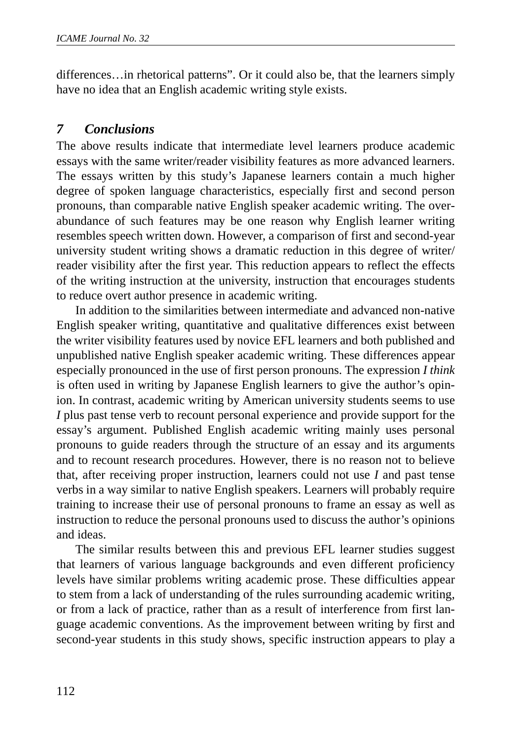differences…in rhetorical patterns". Or it could also be, that the learners simply have no idea that an English academic writing style exists.

#### *7 Conclusions*

The above results indicate that intermediate level learners produce academic essays with the same writer/reader visibility features as more advanced learners. The essays written by this study's Japanese learners contain a much higher degree of spoken language characteristics, especially first and second person pronouns, than comparable native English speaker academic writing. The overabundance of such features may be one reason why English learner writing resembles speech written down. However, a comparison of first and second-year university student writing shows a dramatic reduction in this degree of writer/ reader visibility after the first year. This reduction appears to reflect the effects of the writing instruction at the university, instruction that encourages students to reduce overt author presence in academic writing.

In addition to the similarities between intermediate and advanced non-native English speaker writing, quantitative and qualitative differences exist between the writer visibility features used by novice EFL learners and both published and unpublished native English speaker academic writing. These differences appear especially pronounced in the use of first person pronouns. The expression *I think* is often used in writing by Japanese English learners to give the author's opinion. In contrast, academic writing by American university students seems to use *I* plus past tense verb to recount personal experience and provide support for the essay's argument. Published English academic writing mainly uses personal pronouns to guide readers through the structure of an essay and its arguments and to recount research procedures. However, there is no reason not to believe that, after receiving proper instruction, learners could not use *I* and past tense verbs in a way similar to native English speakers. Learners will probably require training to increase their use of personal pronouns to frame an essay as well as instruction to reduce the personal pronouns used to discuss the author's opinions and ideas.

The similar results between this and previous EFL learner studies suggest that learners of various language backgrounds and even different proficiency levels have similar problems writing academic prose. These difficulties appear to stem from a lack of understanding of the rules surrounding academic writing, or from a lack of practice, rather than as a result of interference from first language academic conventions. As the improvement between writing by first and second-year students in this study shows, specific instruction appears to play a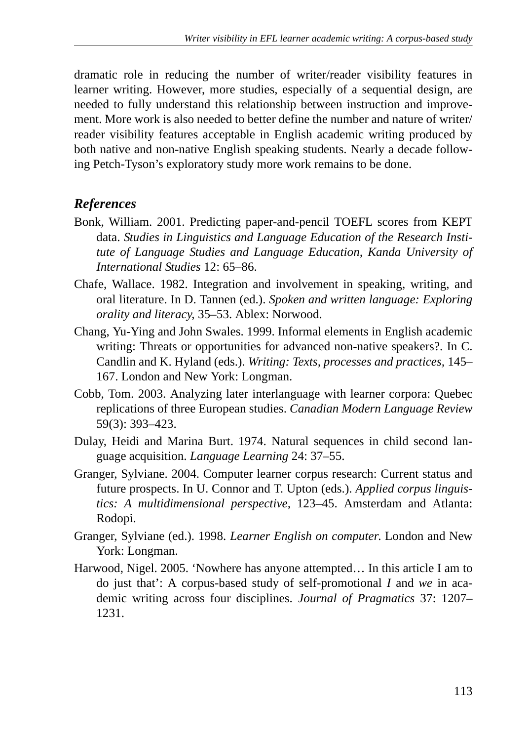dramatic role in reducing the number of writer/reader visibility features in learner writing. However, more studies, especially of a sequential design, are needed to fully understand this relationship between instruction and improvement. More work is also needed to better define the number and nature of writer/ reader visibility features acceptable in English academic writing produced by both native and non-native English speaking students. Nearly a decade following Petch-Tyson's exploratory study more work remains to be done.

# *References*

- Bonk, William. 2001. Predicting paper-and-pencil TOEFL scores from KEPT data. *Studies in Linguistics and Language Education of the Research Institute of Language Studies and Language Education, Kanda University of International Studies* 12: 65–86.
- Chafe, Wallace. 1982. Integration and involvement in speaking, writing, and oral literature. In D. Tannen (ed.). *Spoken and written language: Exploring orality and literacy*, 35–53. Ablex: Norwood.
- Chang, Yu-Ying and John Swales. 1999. Informal elements in English academic writing: Threats or opportunities for advanced non-native speakers?. In C. Candlin and K. Hyland (eds.). *Writing: Texts, processes and practices,* 145– 167. London and New York: Longman.
- Cobb, Tom. 2003. Analyzing later interlanguage with learner corpora: Quebec replications of three European studies. *Canadian Modern Language Review* 59(3): 393–423.
- Dulay, Heidi and Marina Burt. 1974. Natural sequences in child second language acquisition. *Language Learning* 24: 37–55.
- Granger, Sylviane. 2004. Computer learner corpus research: Current status and future prospects. In U. Connor and T. Upton (eds.). *Applied corpus linguistics: A multidimensional perspective,* 123–45. Amsterdam and Atlanta: Rodopi.
- Granger, Sylviane (ed.). 1998. *Learner English on computer*. London and New York: Longman.
- Harwood, Nigel. 2005. 'Nowhere has anyone attempted… In this article I am to do just that': A corpus-based study of self-promotional *I* and *we* in academic writing across four disciplines. *Journal of Pragmatics* 37: 1207– 1231.